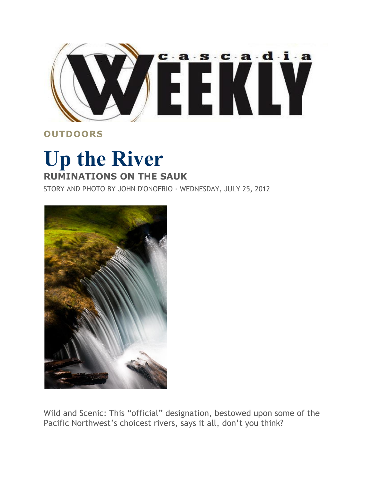

## **OUTDOORS**

## **Up the River RUMINATIONS ON THE SAUK**

STORY AND PHOTO BY JOHN D'ONOFRIO · WEDNESDAY, JULY 25, 2012



Wild and Scenic: This "official" designation, bestowed upon some of the Pacific Northwest's choicest rivers, says it all, don't you think?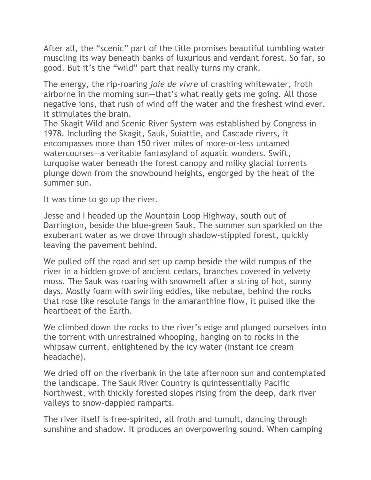After all, the "scenic" part of the title promises beautiful tumbling water muscling its way beneath banks of luxurious and verdant forest. So far, so good. But it's the "wild" part that really turns my crank.

The energy, the rip-roaring *joie de vivre* of crashing whitewater, froth airborne in the morning sun—that's what really gets me going. All those negative ions, that rush of wind off the water and the freshest wind ever. It stimulates the brain.

The Skagit Wild and Scenic River System was established by Congress in 1978. Including the Skagit, Sauk, Suiattle, and Cascade rivers, it encompasses more than 150 river miles of more-or-less untamed watercourses—a veritable fantasyland of aquatic wonders. Swift, turquoise water beneath the forest canopy and milky glacial torrents plunge down from the snowbound heights, engorged by the heat of the summer sun.

It was time to go up the river.

Jesse and I headed up the Mountain Loop Highway, south out of Darrington, beside the blue-green Sauk. The summer sun sparkled on the exuberant water as we drove through shadow-stippled forest, quickly leaving the pavement behind.

We pulled off the road and set up camp beside the wild rumpus of the river in a hidden grove of ancient cedars, branches covered in velvety moss. The Sauk was roaring with snowmelt after a string of hot, sunny days. Mostly foam with swirling eddies, like nebulae, behind the rocks that rose like resolute fangs in the amaranthine flow, it pulsed like the heartbeat of the Earth.

We climbed down the rocks to the river's edge and plunged ourselves into the torrent with unrestrained whooping, hanging on to rocks in the whipsaw current, enlightened by the icy water (instant ice cream headache).

We dried off on the riverbank in the late afternoon sun and contemplated the landscape. The Sauk River Country is quintessentially Pacific Northwest, with thickly forested slopes rising from the deep, dark river valleys to snow-dappled ramparts.

The river itself is free-spirited, all froth and tumult, dancing through sunshine and shadow. It produces an overpowering sound. When camping